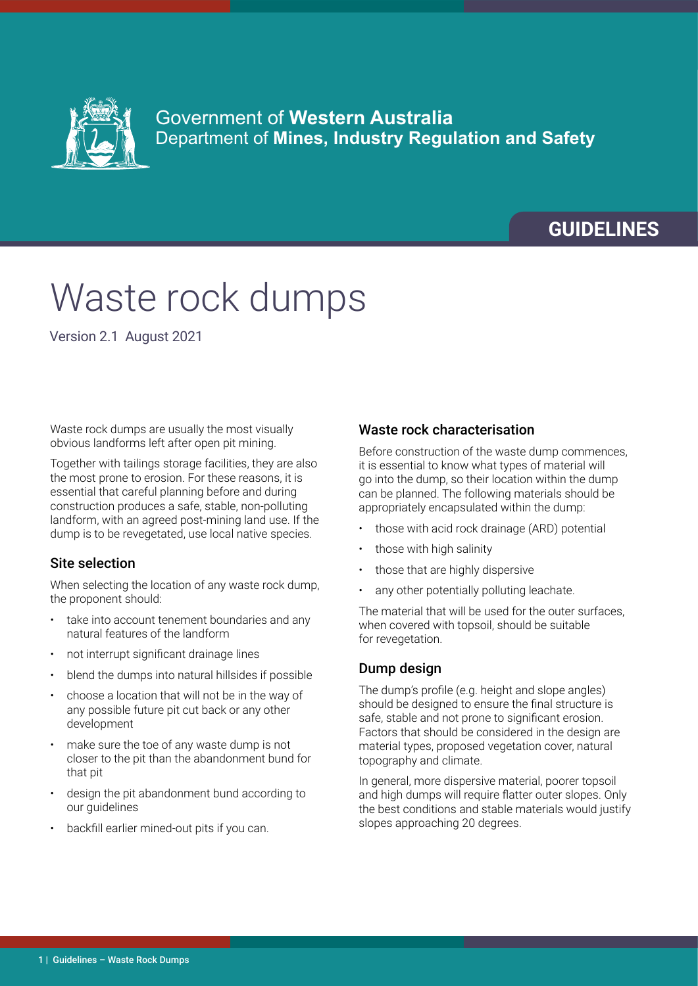

### Government of **Western Australia** Department of **Mines, Industry Regulation and Safety**

## **GUIDELINES**

# Waste rock dumps

Version 2.1 August 2021

Waste rock dumps are usually the most visually obvious landforms left after open pit mining.

Together with tailings storage facilities, they are also the most prone to erosion. For these reasons, it is essential that careful planning before and during construction produces a safe, stable, non-polluting landform, with an agreed post-mining land use. If the dump is to be revegetated, use local native species.

#### Site selection

When selecting the location of any waste rock dump, the proponent should:

- take into account tenement boundaries and any natural features of the landform
- not interrupt significant drainage lines
- blend the dumps into natural hillsides if possible
- choose a location that will not be in the way of any possible future pit cut back or any other development
- make sure the toe of any waste dump is not closer to the pit than the abandonment bund for that pit
- design the pit abandonment bund according to our quidelines
- backfill earlier mined-out pits if you can.

#### Waste rock characterisation

Before construction of the waste dump commences, it is essential to know what types of material will go into the dump, so their location within the dump can be planned. The following materials should be appropriately encapsulated within the dump:

- those with acid rock drainage (ARD) potential
- those with high salinity
- those that are highly dispersive
- any other potentially polluting leachate.

The material that will be used for the outer surfaces, when covered with topsoil, should be suitable for revegetation.

#### Dump design

The dump's profile (e.g. height and slope angles) should be designed to ensure the final structure is safe, stable and not prone to significant erosion. Factors that should be considered in the design are material types, proposed vegetation cover, natural topography and climate.

In general, more dispersive material, poorer topsoil and high dumps will require flatter outer slopes. Only the best conditions and stable materials would justify slopes approaching 20 degrees.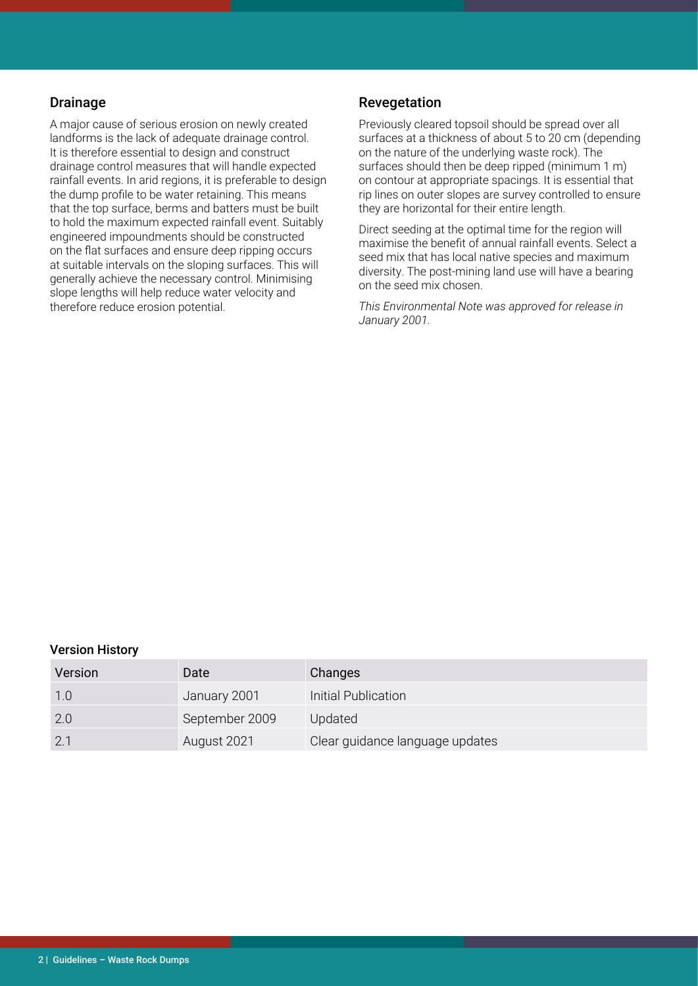#### Drainage

A major cause of serious erosion on newly created landforms is the lack of adequate drainage control. It is therefore essential to design and construct drainage control measures that will handle expected rainfall events. In arid regions, it is preferable to design the dump profile to be water retaining. This means that the top surface, berms and batters must be built to hold the maximum expected rainfall event. Suitably engineered impoundments should be constructed on the flat surfaces and ensure deep ripping occurs at suitable intervals on the sloping surfaces. This will generally achieve the necessary control. Minimising slope lengths will help reduce water velocity and therefore reduce erosion potential.

#### Revegetation

Previously cleared topsoil should be spread over all surfaces at a thickness of about 5 to 20 cm (depending on the nature of the underlying waste rock). The surfaces should then be deep ripped (minimum 1 m) on contour at appropriate spacings. It is essential that rip lines on outer slopes are survey controlled to ensure they are horizontal for their entire length.

Direct seeding at the optimal time for the region will maximise the benefit of annual rainfall events. Select a seed mix that has local native species and maximum diversity. The post-mining land use will have a bearing on the seed mix chosen.

*This Environmental Note was approved for release in January 2001.*

#### Version History

| Version | Date           | Changes                         |
|---------|----------------|---------------------------------|
| 1.0     | January 2001   | Initial Publication             |
| 2.0     | September 2009 | Updated                         |
| 2.1     | August 2021    | Clear guidance language updates |